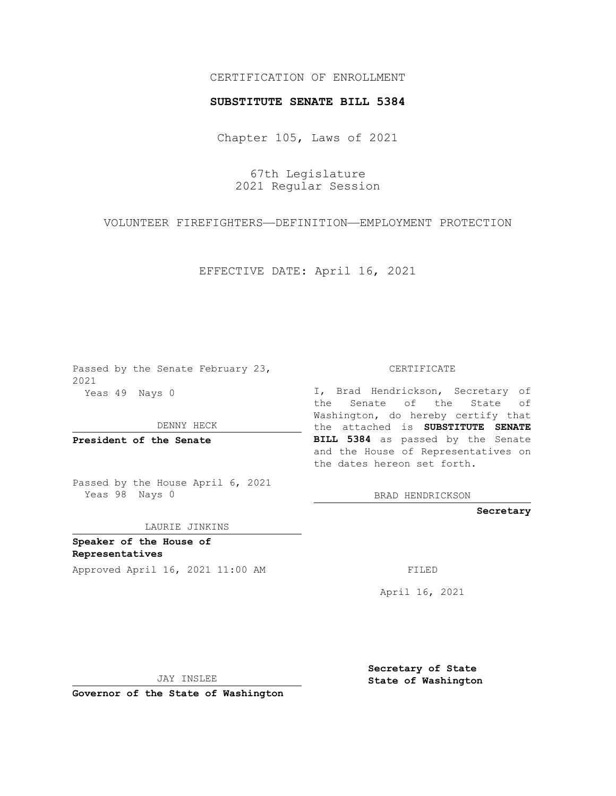## CERTIFICATION OF ENROLLMENT

## **SUBSTITUTE SENATE BILL 5384**

Chapter 105, Laws of 2021

67th Legislature 2021 Regular Session

VOLUNTEER FIREFIGHTERS—DEFINITION—EMPLOYMENT PROTECTION

EFFECTIVE DATE: April 16, 2021

Passed by the Senate February 23, 2021 Yeas 49 Nays 0

DENNY HECK

**President of the Senate**

Passed by the House April 6, 2021 Yeas 98 Nays 0

LAURIE JINKINS

**Speaker of the House of Representatives** Approved April 16, 2021 11:00 AM

CERTIFICATE

I, Brad Hendrickson, Secretary of the Senate of the State of Washington, do hereby certify that the attached is **SUBSTITUTE SENATE BILL 5384** as passed by the Senate and the House of Representatives on the dates hereon set forth.

BRAD HENDRICKSON

**Secretary**

April 16, 2021

JAY INSLEE

**Governor of the State of Washington**

**Secretary of State State of Washington**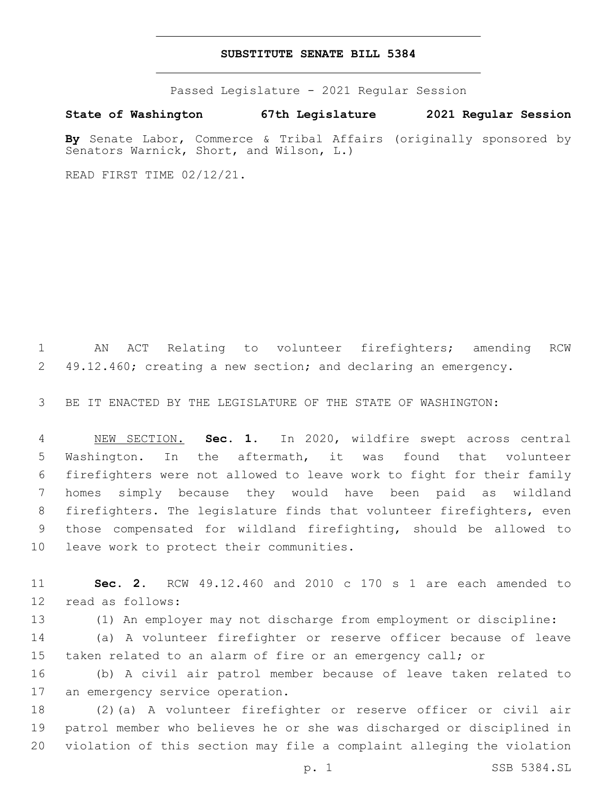## **SUBSTITUTE SENATE BILL 5384**

Passed Legislature - 2021 Regular Session

**State of Washington 67th Legislature 2021 Regular Session**

**By** Senate Labor, Commerce & Tribal Affairs (originally sponsored by Senators Warnick, Short, and Wilson, L.)

READ FIRST TIME 02/12/21.

 AN ACT Relating to volunteer firefighters; amending RCW 49.12.460; creating a new section; and declaring an emergency.

BE IT ENACTED BY THE LEGISLATURE OF THE STATE OF WASHINGTON:

 NEW SECTION. **Sec. 1.** In 2020, wildfire swept across central Washington. In the aftermath, it was found that volunteer firefighters were not allowed to leave work to fight for their family homes simply because they would have been paid as wildland firefighters. The legislature finds that volunteer firefighters, even those compensated for wildland firefighting, should be allowed to leave work to protect their communities.

 **Sec. 2.** RCW 49.12.460 and 2010 c 170 s 1 are each amended to 12 read as follows:

(1) An employer may not discharge from employment or discipline:

 (a) A volunteer firefighter or reserve officer because of leave 15 taken related to an alarm of fire or an emergency call; or

 (b) A civil air patrol member because of leave taken related to 17 an emergency service operation.

 (2)(a) A volunteer firefighter or reserve officer or civil air patrol member who believes he or she was discharged or disciplined in violation of this section may file a complaint alleging the violation

p. 1 SSB 5384.SL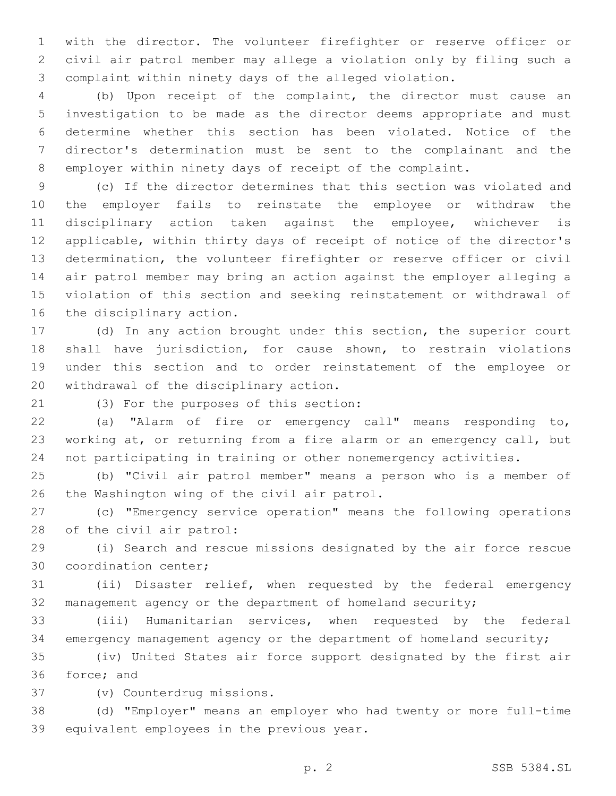with the director. The volunteer firefighter or reserve officer or civil air patrol member may allege a violation only by filing such a complaint within ninety days of the alleged violation.

 (b) Upon receipt of the complaint, the director must cause an investigation to be made as the director deems appropriate and must determine whether this section has been violated. Notice of the director's determination must be sent to the complainant and the employer within ninety days of receipt of the complaint.

 (c) If the director determines that this section was violated and the employer fails to reinstate the employee or withdraw the disciplinary action taken against the employee, whichever is applicable, within thirty days of receipt of notice of the director's determination, the volunteer firefighter or reserve officer or civil air patrol member may bring an action against the employer alleging a violation of this section and seeking reinstatement or withdrawal of 16 the disciplinary action.

 (d) In any action brought under this section, the superior court shall have jurisdiction, for cause shown, to restrain violations under this section and to order reinstatement of the employee or 20 withdrawal of the disciplinary action.

(3) For the purposes of this section:21

 (a) "Alarm of fire or emergency call" means responding to, working at, or returning from a fire alarm or an emergency call, but not participating in training or other nonemergency activities.

 (b) "Civil air patrol member" means a person who is a member of 26 the Washington wing of the civil air patrol.

 (c) "Emergency service operation" means the following operations 28 of the civil air patrol:

 (i) Search and rescue missions designated by the air force rescue 30 coordination center;

 (ii) Disaster relief, when requested by the federal emergency management agency or the department of homeland security;

 (iii) Humanitarian services, when requested by the federal 34 emergency management agency or the department of homeland security;

 (iv) United States air force support designated by the first air 36 force; and

(v) Counterdrug missions.37

 (d) "Employer" means an employer who had twenty or more full-time 39 equivalent employees in the previous year.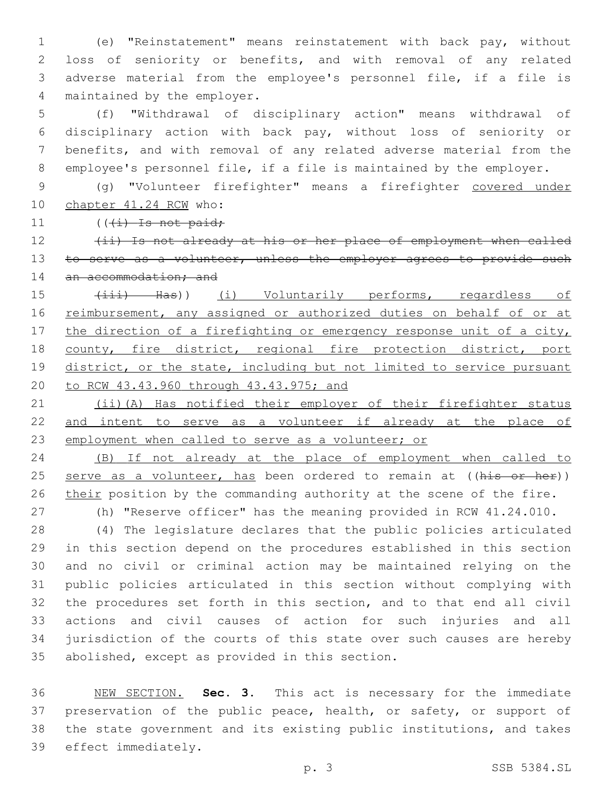(e) "Reinstatement" means reinstatement with back pay, without loss of seniority or benefits, and with removal of any related adverse material from the employee's personnel file, if a file is 4 maintained by the employer.

 (f) "Withdrawal of disciplinary action" means withdrawal of disciplinary action with back pay, without loss of seniority or benefits, and with removal of any related adverse material from the employee's personnel file, if a file is maintained by the employer.

9 (g) "Volunteer firefighter" means a firefighter covered under 10 chapter 41.24 RCW who:

11  $((\ddot{t})$  Is not paid;

12 (ii) Is not already at his or her place of employment when called 13 to serve as a volunteer, unless the employer agrees to provide such 14 an accommodation; and

15 (iii) Has)) (i) Voluntarily performs, regardless of 16 reimbursement, any assigned or authorized duties on behalf of or at 17 the direction of a firefighting or emergency response unit of a city, 18 county, fire district, regional fire protection district, port 19 district, or the state, including but not limited to service pursuant 20 to RCW 43.43.960 through 43.43.975; and

21 (ii)(A) Has notified their employer of their firefighter status 22 and intent to serve as a volunteer if already at the place of 23 employment when called to serve as a volunteer; or

24 (B) If not already at the place of employment when called to 25 serve as a volunteer, has been ordered to remain at ((his or her)) 26 their position by the commanding authority at the scene of the fire.

27 (h) "Reserve officer" has the meaning provided in RCW 41.24.010.

 (4) The legislature declares that the public policies articulated in this section depend on the procedures established in this section and no civil or criminal action may be maintained relying on the public policies articulated in this section without complying with the procedures set forth in this section, and to that end all civil actions and civil causes of action for such injuries and all jurisdiction of the courts of this state over such causes are hereby 35 abolished, except as provided in this section.

 NEW SECTION. **Sec. 3.** This act is necessary for the immediate 37 preservation of the public peace, health, or safety, or support of the state government and its existing public institutions, and takes effect immediately.